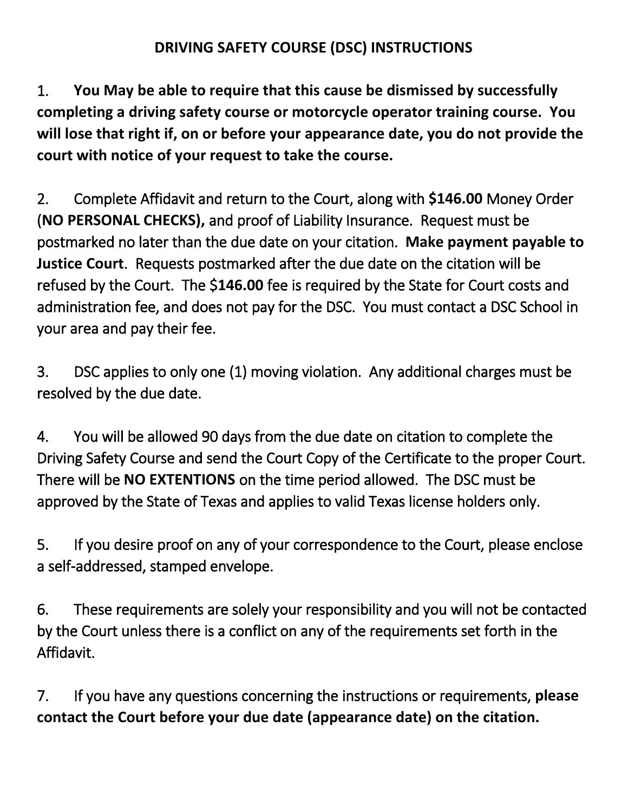## **DRIVING SAFETY COURSE (DSC) INSTRUCTIONS**

1. **You May be able to require that this cause be dismissed by successfully completing a driving safety course or motorcycle operator training course. You will lose that right if, on or before your appearance date, you do not provide the court with notice of your request to take the course.**

2. Complete Affidavit and return to the Court, along with **\$146.00** Money Order (**NO PERSONAL CHECKS),** and proof of Liability Insurance. Request must be postmarked no later than the due date on your citation. **Make payment payable to Justice Court**. Requests postmarked after the due date on the citation will be refused by the Court. The \$**146.00** fee is required by the State for Court costs and administration fee, and does not pay for the DSC. You must contact a DSC School in your area and pay their fee.

3. DSC applies to only one (1) moving violation. Any additional charges must be resolved by the due date.

4. You will be allowed 90 days from the due date on citation to complete the Driving Safety Course and send the Court Copy of the Certificate to the proper Court. There will be **NO EXTENTIONS** on the time period allowed. The DSC must be approved by the State of Texas and applies to valid Texas license holders only.

5. If you desire proof on any of your correspondence to the Court, please enclose a self-addressed, stamped envelope.

6. These requirements are solely your responsibility and you will not be contacted by the Court unless there is a conflict on any of the requirements set forth in the Affidavit.

7. If you have any questions concerning the instructions or requirements, **please contact the Court before your due date (appearance date) on the citation.**